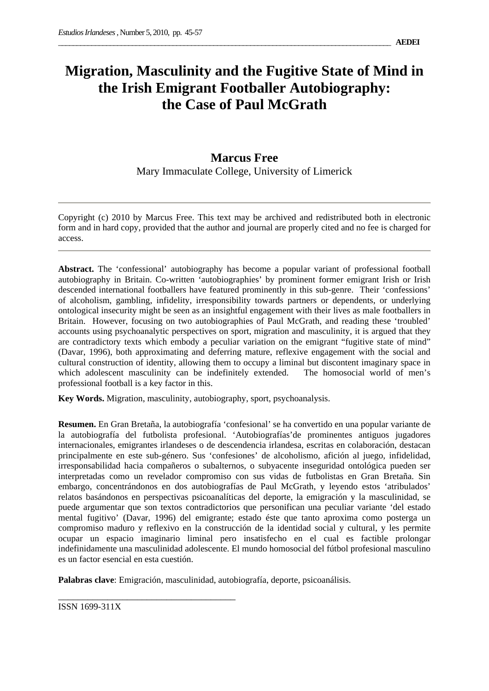# **Migration, Masculinity and the Fugitive State of Mind in the Irish Emigrant Footballer Autobiography: the Case of Paul McGrath**

## **Marcus Free**  Mary Immaculate College, University of Limerick

Copyright (c) 2010 by Marcus Free. This text may be archived and redistributed both in electronic form and in hard copy, provided that the author and journal are properly cited and no fee is charged for access.

**Abstract.** The 'confessional' autobiography has become a popular variant of professional football autobiography in Britain. Co-written 'autobiographies' by prominent former emigrant Irish or Irish descended international footballers have featured prominently in this sub-genre. Their 'confessions' of alcoholism, gambling, infidelity, irresponsibility towards partners or dependents, or underlying ontological insecurity might be seen as an insightful engagement with their lives as male footballers in Britain. However, focusing on two autobiographies of Paul McGrath, and reading these 'troubled' accounts using psychoanalytic perspectives on sport, migration and masculinity, it is argued that they are contradictory texts which embody a peculiar variation on the emigrant "fugitive state of mind" (Davar, 1996), both approximating and deferring mature, reflexive engagement with the social and cultural construction of identity, allowing them to occupy a liminal but discontent imaginary space in which adolescent masculinity can be indefinitely extended. The homosocial world of men's professional football is a key factor in this.

**Key Words.** Migration, masculinity, autobiography, sport, psychoanalysis.

**Resumen.** En Gran Bretaña, la autobiografía 'confesional' se ha convertido en una popular variante de la autobiografía del futbolista profesional. 'Autobiografías'de prominentes antiguos jugadores internacionales, emigrantes irlandeses o de descendencia irlandesa, escritas en colaboración, destacan principalmente en este sub-género. Sus 'confesiones' de alcoholismo, afición al juego, infidelidad, irresponsabilidad hacia compañeros o subalternos, o subyacente inseguridad ontológica pueden ser interpretadas como un revelador compromiso con sus vidas de futbolistas en Gran Bretaña. Sin embargo, concentrándonos en dos autobiografías de Paul McGrath, y leyendo estos 'atribulados' relatos basándonos en perspectivas psicoanalíticas del deporte, la emigración y la masculinidad, se puede argumentar que son textos contradictorios que personifican una peculiar variante 'del estado mental fugitivo' (Davar, 1996) del emigrante; estado éste que tanto aproxima como posterga un compromiso maduro y reflexivo en la construcción de la identidad social y cultural, y les permite ocupar un espacio imaginario liminal pero insatisfecho en el cual es factible prolongar indefinidamente una masculinidad adolescente. El mundo homosocial del fútbol profesional masculino es un factor esencial en esta cuestión.

**Palabras clave**: Emigración, masculinidad, autobiografía, deporte, psicoanálisis.

\_\_\_\_\_\_\_\_\_\_\_\_\_\_\_\_\_\_\_\_\_\_\_\_\_\_\_\_\_\_\_\_\_\_\_\_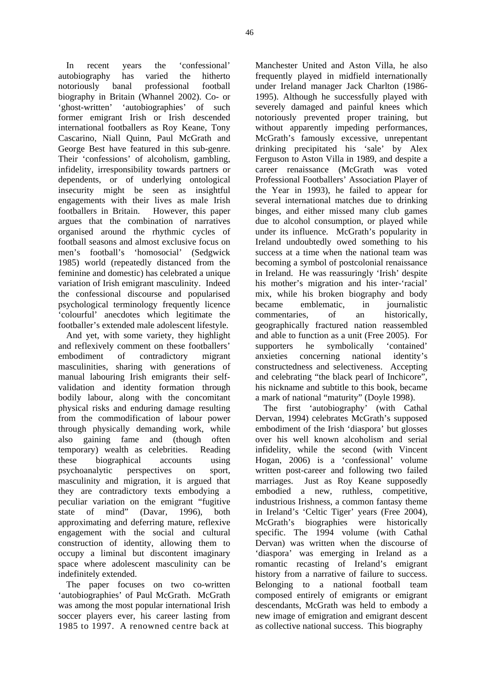In recent years the 'confessional' autobiography has varied the hitherto notoriously banal professional football biography in Britain (Whannel 2002). Co- or 'ghost-written' 'autobiographies' of such former emigrant Irish or Irish descended international footballers as Roy Keane, Tony Cascarino, Niall Quinn, Paul McGrath and George Best have featured in this sub-genre. Their 'confessions' of alcoholism, gambling, infidelity, irresponsibility towards partners or dependents, or of underlying ontological insecurity might be seen as insightful engagements with their lives as male Irish footballers in Britain. However, this paper argues that the combination of narratives organised around the rhythmic cycles of football seasons and almost exclusive focus on men's football's 'homosocial' (Sedgwick 1985) world (repeatedly distanced from the feminine and domestic) has celebrated a unique variation of Irish emigrant masculinity. Indeed the confessional discourse and popularised psychological terminology frequently licence 'colourful' anecdotes which legitimate the footballer's extended male adolescent lifestyle.

And yet, with some variety, they highlight and reflexively comment on these footballers' embodiment of contradictory migrant masculinities, sharing with generations of manual labouring Irish emigrants their selfvalidation and identity formation through bodily labour, along with the concomitant physical risks and enduring damage resulting from the commodification of labour power through physically demanding work, while also gaining fame and (though often temporary) wealth as celebrities. Reading these biographical accounts using psychoanalytic perspectives on sport, masculinity and migration, it is argued that they are contradictory texts embodying a peculiar variation on the emigrant "fugitive state of mind" (Davar, 1996), both approximating and deferring mature, reflexive engagement with the social and cultural construction of identity, allowing them to occupy a liminal but discontent imaginary space where adolescent masculinity can be indefinitely extended.

The paper focuses on two co-written 'autobiographies' of Paul McGrath. McGrath was among the most popular international Irish soccer players ever, his career lasting from 1985 to 1997. A renowned centre back at

Manchester United and Aston Villa, he also frequently played in midfield internationally under Ireland manager Jack Charlton (1986- 1995). Although he successfully played with severely damaged and painful knees which notoriously prevented proper training, but without apparently impeding performances, McGrath's famously excessive, unrepentant drinking precipitated his 'sale' by Alex Ferguson to Aston Villa in 1989, and despite a career renaissance (McGrath was voted Professional Footballers' Association Player of the Year in 1993), he failed to appear for several international matches due to drinking binges, and either missed many club games due to alcohol consumption, or played while under its influence. McGrath's popularity in Ireland undoubtedly owed something to his success at a time when the national team was becoming a symbol of postcolonial renaissance in Ireland. He was reassuringly 'Irish' despite his mother's migration and his inter-'racial' mix, while his broken biography and body became emblematic, in journalistic commentaries, of an historically, geographically fractured nation reassembled and able to function as a unit (Free 2005). For supporters he symbolically 'contained' anxieties concerning national identity's constructedness and selectiveness. Accepting and celebrating "the black pearl of Inchicore", his nickname and subtitle to this book, became a mark of national "maturity" (Doyle 1998).

The first 'autobiography' (with Cathal Dervan, 1994) celebrates McGrath's supposed embodiment of the Irish 'diaspora' but glosses over his well known alcoholism and serial infidelity, while the second (with Vincent Hogan, 2006) is a 'confessional' volume written post-career and following two failed marriages. Just as Roy Keane supposedly embodied a new, ruthless, competitive, industrious Irishness, a common fantasy theme in Ireland's 'Celtic Tiger' years (Free 2004), McGrath's biographies were historically specific. The 1994 volume (with Cathal Dervan) was written when the discourse of 'diaspora' was emerging in Ireland as a romantic recasting of Ireland's emigrant history from a narrative of failure to success. Belonging to a national football team composed entirely of emigrants or emigrant descendants, McGrath was held to embody a new image of emigration and emigrant descent as collective national success. This biography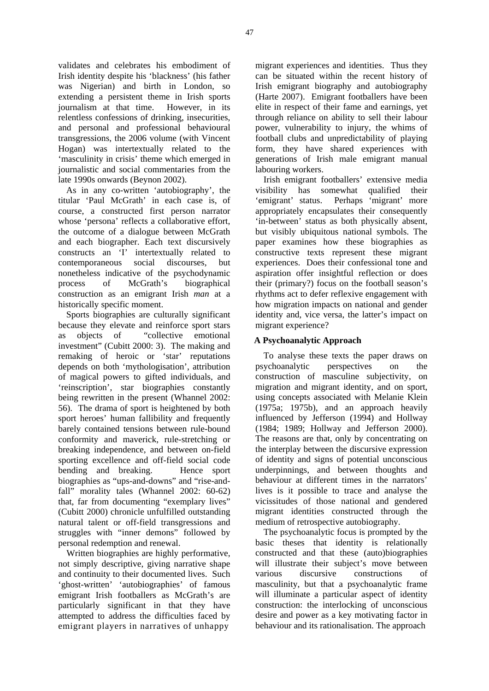validates and celebrates his embodiment of Irish identity despite his 'blackness' (his father was Nigerian) and birth in London, so extending a persistent theme in Irish sports journalism at that time. However, in its relentless confessions of drinking, insecurities, and personal and professional behavioural transgressions, the 2006 volume (with Vincent Hogan) was intertextually related to the 'masculinity in crisis' theme which emerged in journalistic and social commentaries from the late 1990s onwards (Beynon 2002).

As in any co-written 'autobiography', the titular 'Paul McGrath' in each case is, of course, a constructed first person narrator whose 'persona' reflects a collaborative effort, the outcome of a dialogue between McGrath and each biographer. Each text discursively constructs an 'I' intertextually related to contemporaneous social discourses, but nonetheless indicative of the psychodynamic process of McGrath's biographical construction as an emigrant Irish *man* at a historically specific moment.

Sports biographies are culturally significant because they elevate and reinforce sport stars as objects of "collective emotional investment" (Cubitt 2000: 3). The making and remaking of heroic or 'star' reputations depends on both 'mythologisation', attribution of magical powers to gifted individuals, and 'reinscription', star biographies constantly being rewritten in the present (Whannel 2002: 56). The drama of sport is heightened by both sport heroes' human fallibility and frequently barely contained tensions between rule-bound conformity and maverick, rule-stretching or breaking independence, and between on-field sporting excellence and off-field social code bending and breaking. Hence sport biographies as "ups-and-downs" and "rise-andfall" morality tales (Whannel 2002: 60-62) that, far from documenting "exemplary lives" (Cubitt 2000) chronicle unfulfilled outstanding natural talent or off-field transgressions and struggles with "inner demons" followed by personal redemption and renewal.

Written biographies are highly performative, not simply descriptive, giving narrative shape and continuity to their documented lives. Such 'ghost-written' 'autobiographies' of famous emigrant Irish footballers as McGrath's are particularly significant in that they have attempted to address the difficulties faced by emigrant players in narratives of unhappy

migrant experiences and identities. Thus they can be situated within the recent history of Irish emigrant biography and autobiography (Harte 2007). Emigrant footballers have been elite in respect of their fame and earnings, yet through reliance on ability to sell their labour power, vulnerability to injury, the whims of football clubs and unpredictability of playing form, they have shared experiences with generations of Irish male emigrant manual labouring workers.

Irish emigrant footballers' extensive media visibility has somewhat qualified their 'emigrant' status. Perhaps 'migrant' more appropriately encapsulates their consequently 'in-between' status as both physically absent, but visibly ubiquitous national symbols. The paper examines how these biographies as constructive texts represent these migrant experiences. Does their confessional tone and aspiration offer insightful reflection or does their (primary?) focus on the football season's rhythms act to defer reflexive engagement with how migration impacts on national and gender identity and, vice versa, the latter's impact on migrant experience?

### **A Psychoanalytic Approach**

To analyse these texts the paper draws on psychoanalytic perspectives on the construction of masculine subjectivity, on migration and migrant identity, and on sport, using concepts associated with Melanie Klein (1975a; 1975b), and an approach heavily influenced by Jefferson (1994) and Hollway (1984; 1989; Hollway and Jefferson 2000). The reasons are that, only by concentrating on the interplay between the discursive expression of identity and signs of potential unconscious underpinnings, and between thoughts and behaviour at different times in the narrators' lives is it possible to trace and analyse the vicissitudes of those national and gendered migrant identities constructed through the medium of retrospective autobiography.

The psychoanalytic focus is prompted by the basic theses that identity is relationally constructed and that these (auto)biographies will illustrate their subject's move between various discursive constructions of masculinity, but that a psychoanalytic frame will illuminate a particular aspect of identity construction: the interlocking of unconscious desire and power as a key motivating factor in behaviour and its rationalisation. The approach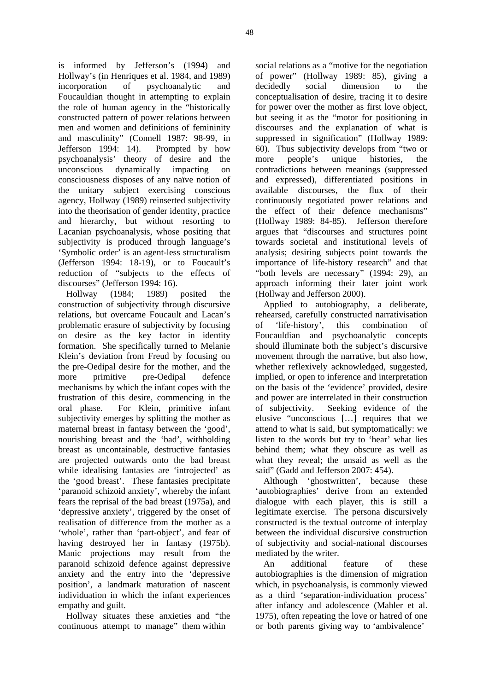is informed by Jefferson's (1994) and Hollway's (in Henriques et al. 1984, and 1989) incorporation of psychoanalytic and Foucauldian thought in attempting to explain the role of human agency in the "historically constructed pattern of power relations between men and women and definitions of femininity and masculinity" (Connell 1987: 98-99, in Jefferson 1994: 14). Prompted by how psychoanalysis' theory of desire and the unconscious dynamically impacting on consciousness disposes of any naïve notion of the unitary subject exercising conscious agency, Hollway (1989) reinserted subjectivity into the theorisation of gender identity, practice and hierarchy, but without resorting to Lacanian psychoanalysis, whose positing that subjectivity is produced through language's 'Symbolic order' is an agent-less structuralism (Jefferson 1994: 18-19), or to Foucault's reduction of "subjects to the effects of discourses" (Jefferson 1994: 16).

Hollway (1984; 1989) posited the construction of subjectivity through discursive relations, but overcame Foucault and Lacan's problematic erasure of subjectivity by focusing on desire as the key factor in identity formation. She specifically turned to Melanie Klein's deviation from Freud by focusing on the pre-Oedipal desire for the mother, and the more primitive pre-Oedipal defence mechanisms by which the infant copes with the frustration of this desire, commencing in the oral phase. For Klein, primitive infant subjectivity emerges by splitting the mother as maternal breast in fantasy between the 'good', nourishing breast and the 'bad', withholding breast as uncontainable, destructive fantasies are projected outwards onto the bad breast while idealising fantasies are 'introjected' as the 'good breast'. These fantasies precipitate 'paranoid schizoid anxiety', whereby the infant fears the reprisal of the bad breast (1975a), and 'depressive anxiety', triggered by the onset of realisation of difference from the mother as a 'whole', rather than 'part-object', and fear of having destroyed her in fantasy (1975b). Manic projections may result from the paranoid schizoid defence against depressive anxiety and the entry into the 'depressive position', a landmark maturation of nascent individuation in which the infant experiences empathy and guilt.

Hollway situates these anxieties and "the continuous attempt to manage" them within

social relations as a "motive for the negotiation of power" (Hollway 1989: 85), giving a decidedly social dimension to the conceptualisation of desire, tracing it to desire for power over the mother as first love object, but seeing it as the "motor for positioning in discourses and the explanation of what is suppressed in signification" (Hollway 1989: 60). Thus subjectivity develops from "two or more people's unique histories, the contradictions between meanings (suppressed and expressed), differentiated positions in available discourses, the flux of their continuously negotiated power relations and the effect of their defence mechanisms" (Hollway 1989: 84-85). Jefferson therefore argues that "discourses and structures point towards societal and institutional levels of analysis; desiring subjects point towards the importance of life-history research" and that "both levels are necessary" (1994: 29), an approach informing their later joint work (Hollway and Jefferson 2000).

Applied to autobiography, a deliberate, rehearsed, carefully constructed narrativisation of 'life-history', this combination of Foucauldian and psychoanalytic concepts should illuminate both the subject's discursive movement through the narrative, but also how, whether reflexively acknowledged, suggested, implied, or open to inference and interpretation on the basis of the 'evidence' provided, desire and power are interrelated in their construction of subjectivity. Seeking evidence of the elusive "unconscious […] requires that we attend to what is said, but symptomatically: we listen to the words but try to 'hear' what lies behind them; what they obscure as well as what they reveal; the unsaid as well as the said" (Gadd and Jefferson 2007: 454).

Although 'ghostwritten', because these 'autobiographies' derive from an extended dialogue with each player, this is still a legitimate exercise. The persona discursively constructed is the textual outcome of interplay between the individual discursive construction of subjectivity and social-national discourses mediated by the writer.

An additional feature of these autobiographies is the dimension of migration which, in psychoanalysis, is commonly viewed as a third 'separation-individuation process' after infancy and adolescence (Mahler et al. 1975), often repeating the love or hatred of one or both parents giving way to 'ambivalence'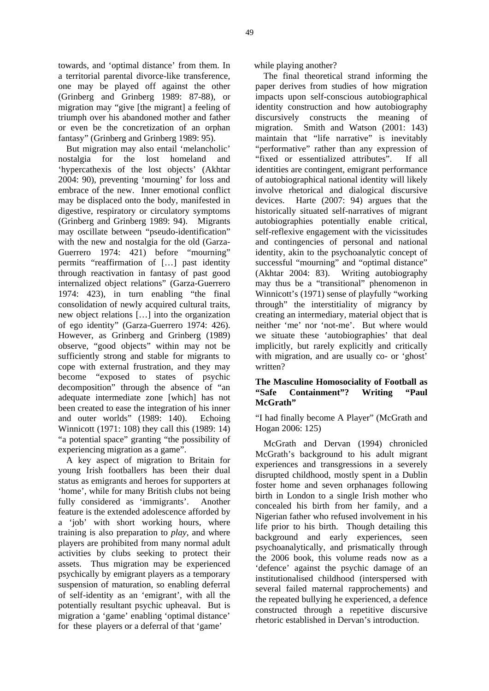towards, and 'optimal distance' from them. In a territorial parental divorce-like transference, one may be played off against the other (Grinberg and Grinberg 1989: 87-88), or migration may "give [the migrant] a feeling of triumph over his abandoned mother and father or even be the concretization of an orphan fantasy" (Grinberg and Grinberg 1989: 95).

But migration may also entail 'melancholic' nostalgia for the lost homeland and 'hypercathexis of the lost objects' (Akhtar 2004: 90), preventing 'mourning' for loss and embrace of the new. Inner emotional conflict may be displaced onto the body, manifested in digestive, respiratory or circulatory symptoms (Grinberg and Grinberg 1989: 94). Migrants may oscillate between "pseudo-identification" with the new and nostalgia for the old (Garza-Guerrero 1974: 421) before "mourning" permits "reaffirmation of […] past identity through reactivation in fantasy of past good internalized object relations" (Garza-Guerrero 1974: 423), in turn enabling "the final consolidation of newly acquired cultural traits, new object relations […] into the organization of ego identity" (Garza-Guerrero 1974: 426). However, as Grinberg and Grinberg (1989) observe, "good objects" within may not be sufficiently strong and stable for migrants to cope with external frustration, and they may become "exposed to states of psychic decomposition" through the absence of "an adequate intermediate zone [which] has not been created to ease the integration of his inner and outer worlds" (1989: 140). Echoing Winnicott (1971: 108) they call this (1989: 14) "a potential space" granting "the possibility of experiencing migration as a game".

A key aspect of migration to Britain for young Irish footballers has been their dual status as emigrants and heroes for supporters at 'home', while for many British clubs not being fully considered as 'immigrants'. Another feature is the extended adolescence afforded by a 'job' with short working hours, where training is also preparation to *play*, and where players are prohibited from many normal adult activities by clubs seeking to protect their assets. Thus migration may be experienced psychically by emigrant players as a temporary suspension of maturation, so enabling deferral of self-identity as an 'emigrant', with all the potentially resultant psychic upheaval. But is migration a 'game' enabling 'optimal distance' for these players or a deferral of that 'game'

while playing another?

The final theoretical strand informing the paper derives from studies of how migration impacts upon self-conscious autobiographical identity construction and how autobiography discursively constructs the meaning of migration. Smith and Watson (2001: 143) maintain that "life narrative" is inevitably "performative" rather than any expression of "fixed or essentialized attributes". If all identities are contingent, emigrant performance of autobiographical national identity will likely involve rhetorical and dialogical discursive devices. Harte (2007: 94) argues that the historically situated self-narratives of migrant autobiographies potentially enable critical, self-reflexive engagement with the vicissitudes and contingencies of personal and national identity, akin to the psychoanalytic concept of successful "mourning" and "optimal distance" (Akhtar 2004: 83). Writing autobiography may thus be a "transitional" phenomenon in Winnicott's (1971) sense of playfully "working through" the interstitiality of migrancy by creating an intermediary, material object that is neither 'me' nor 'not-me'. But where would we situate these 'autobiographies' that deal implicitly, but rarely explicitly and critically with migration, and are usually co- or 'ghost' written?

### **The Masculine Homosociality of Football as "Safe Containment"? Writing "Paul McGrath"**

"I had finally become A Player" (McGrath and Hogan 2006: 125)

McGrath and Dervan (1994) chronicled McGrath's background to his adult migrant experiences and transgressions in a severely disrupted childhood, mostly spent in a Dublin foster home and seven orphanages following birth in London to a single Irish mother who concealed his birth from her family, and a Nigerian father who refused involvement in his life prior to his birth. Though detailing this background and early experiences, seen psychoanalytically, and prismatically through the 2006 book, this volume reads now as a 'defence' against the psychic damage of an institutionalised childhood (interspersed with several failed maternal rapprochements) and the repeated bullying he experienced, a defence constructed through a repetitive discursive rhetoric established in Dervan's introduction.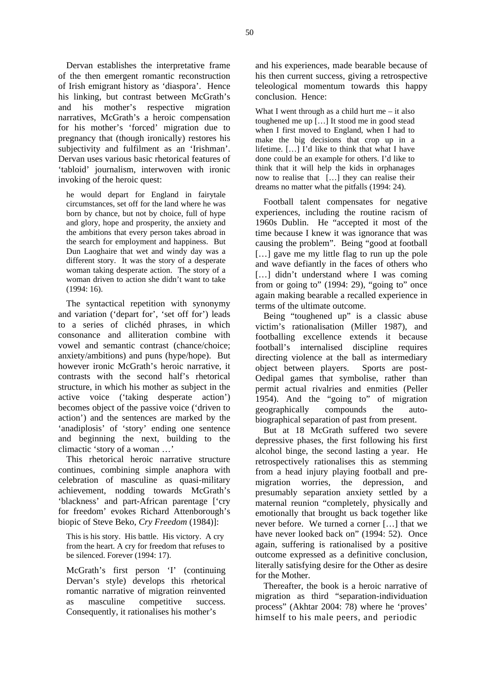Dervan establishes the interpretative frame of the then emergent romantic reconstruction of Irish emigrant history as 'diaspora'. Hence his linking, but contrast between McGrath's and his mother's respective migration narratives, McGrath's a heroic compensation for his mother's 'forced' migration due to pregnancy that (though ironically) restores his subjectivity and fulfilment as an 'Irishman'. Dervan uses various basic rhetorical features of 'tabloid' journalism, interwoven with ironic invoking of the heroic quest:

he would depart for England in fairytale circumstances, set off for the land where he was born by chance, but not by choice, full of hype and glory, hope and prosperity, the anxiety and the ambitions that every person takes abroad in the search for employment and happiness. But Dun Laoghaire that wet and windy day was a different story. It was the story of a desperate woman taking desperate action. The story of a woman driven to action she didn't want to take (1994: 16).

The syntactical repetition with synonymy and variation ('depart for', 'set off for') leads to a series of clichéd phrases, in which consonance and alliteration combine with vowel and semantic contrast (chance/choice; anxiety/ambitions) and puns (hype/hope). But however ironic McGrath's heroic narrative, it contrasts with the second half's rhetorical structure, in which his mother as subject in the active voice ('taking desperate action') becomes object of the passive voice ('driven to action') and the sentences are marked by the 'anadiplosis' of 'story' ending one sentence and beginning the next, building to the climactic 'story of a woman …'

This rhetorical heroic narrative structure continues, combining simple anaphora with celebration of masculine as quasi-military achievement, nodding towards McGrath's 'blackness' and part-African parentage ['cry for freedom' evokes Richard Attenborough's biopic of Steve Beko, *Cry Freedom* (1984)]:

This is his story. His battle. His victory. A cry from the heart. A cry for freedom that refuses to be silenced. Forever (1994: 17).

McGrath's first person 'I' (continuing Dervan's style) develops this rhetorical romantic narrative of migration reinvented as masculine competitive success. Consequently, it rationalises his mother's

and his experiences, made bearable because of his then current success, giving a retrospective teleological momentum towards this happy conclusion. Hence:

What I went through as a child hurt me  $-$  it also toughened me up […] It stood me in good stead when I first moved to England, when I had to make the big decisions that crop up in a lifetime. […] I'd like to think that what I have done could be an example for others. I'd like to think that it will help the kids in orphanages now to realise that […] they can realise their dreams no matter what the pitfalls (1994: 24).

Football talent compensates for negative experiences, including the routine racism of 1960s Dublin. He "accepted it most of the time because I knew it was ignorance that was causing the problem". Being "good at football [...] gave me my little flag to run up the pole and wave defiantly in the faces of others who [...] didn't understand where I was coming from or going to" (1994: 29), "going to" once again making bearable a recalled experience in terms of the ultimate outcome.

Being "toughened up" is a classic abuse victim's rationalisation (Miller 1987), and footballing excellence extends it because football's internalised discipline requires directing violence at the ball as intermediary object between players. Sports are post-Oedipal games that symbolise, rather than permit actual rivalries and enmities (Peller 1954). And the "going to" of migration geographically compounds the autobiographical separation of past from present.

But at 18 McGrath suffered two severe depressive phases, the first following his first alcohol binge, the second lasting a year. He retrospectively rationalises this as stemming from a head injury playing football and premigration worries, the depression, and presumably separation anxiety settled by a maternal reunion "completely, physically and emotionally that brought us back together like never before. We turned a corner […] that we have never looked back on" (1994: 52). Once again, suffering is rationalised by a positive outcome expressed as a definitive conclusion, literally satisfying desire for the Other as desire for the Mother.

Thereafter, the book is a heroic narrative of migration as third "separation-individuation process" (Akhtar 2004: 78) where he 'proves' himself to his male peers, and periodic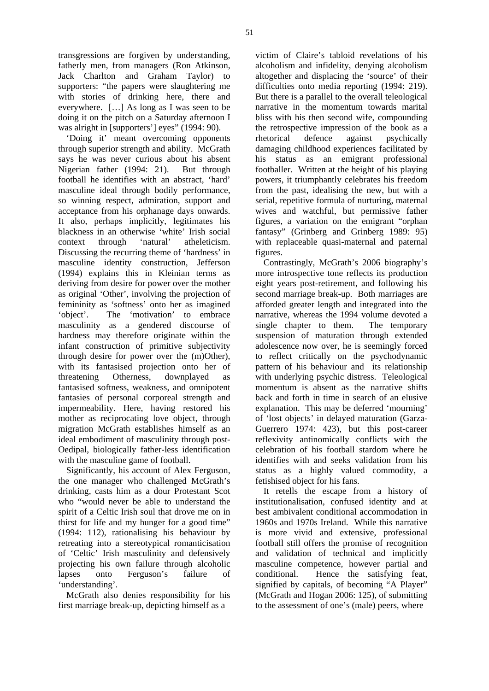transgressions are forgiven by understanding, fatherly men, from managers (Ron Atkinson, Jack Charlton and Graham Taylor) to supporters: "the papers were slaughtering me with stories of drinking here, there and everywhere. […] As long as I was seen to be doing it on the pitch on a Saturday afternoon I was alright in [supporters'] eyes" (1994: 90).

'Doing it' meant overcoming opponents through superior strength and ability. McGrath says he was never curious about his absent Nigerian father (1994: 21). But through football he identifies with an abstract, 'hard' masculine ideal through bodily performance, so winning respect, admiration, support and acceptance from his orphanage days onwards. It also, perhaps implicitly, legitimates his blackness in an otherwise 'white' Irish social context through 'natural' atheleticism. Discussing the recurring theme of 'hardness' in masculine identity construction, Jefferson (1994) explains this in Kleinian terms as deriving from desire for power over the mother as original 'Other', involving the projection of femininity as 'softness' onto her as imagined 'object'. The 'motivation' to embrace masculinity as a gendered discourse of hardness may therefore originate within the infant construction of primitive subjectivity through desire for power over the (m)Other), with its fantasised projection onto her of threatening Otherness, downplayed as fantasised softness, weakness, and omnipotent fantasies of personal corporeal strength and impermeability. Here, having restored his mother as reciprocating love object, through migration McGrath establishes himself as an ideal embodiment of masculinity through post-Oedipal, biologically father-less identification with the masculine game of football.

Significantly, his account of Alex Ferguson, the one manager who challenged McGrath's drinking, casts him as a dour Protestant Scot who "would never be able to understand the spirit of a Celtic Irish soul that drove me on in thirst for life and my hunger for a good time" (1994: 112), rationalising his behaviour by retreating into a stereotypical romanticisation of 'Celtic' Irish masculinity and defensively projecting his own failure through alcoholic lapses onto Ferguson's failure of 'understanding'.

McGrath also denies responsibility for his first marriage break-up, depicting himself as a

victim of Claire's tabloid revelations of his alcoholism and infidelity, denying alcoholism altogether and displacing the 'source' of their difficulties onto media reporting (1994: 219). But there is a parallel to the overall teleological narrative in the momentum towards marital bliss with his then second wife, compounding the retrospective impression of the book as a rhetorical defence against psychically damaging childhood experiences facilitated by his status as an emigrant professional footballer. Written at the height of his playing powers, it triumphantly celebrates his freedom from the past, idealising the new, but with a serial, repetitive formula of nurturing, maternal wives and watchful, but permissive father figures, a variation on the emigrant "orphan fantasy" (Grinberg and Grinberg 1989: 95) with replaceable quasi-maternal and paternal figures.

Contrastingly, McGrath's 2006 biography's more introspective tone reflects its production eight years post-retirement, and following his second marriage break-up. Both marriages are afforded greater length and integrated into the narrative, whereas the 1994 volume devoted a single chapter to them. The temporary suspension of maturation through extended adolescence now over, he is seemingly forced to reflect critically on the psychodynamic pattern of his behaviour and its relationship with underlying psychic distress. Teleological momentum is absent as the narrative shifts back and forth in time in search of an elusive explanation. This may be deferred 'mourning' of 'lost objects' in delayed maturation (Garza-Guerrero 1974: 423), but this post-career reflexivity antinomically conflicts with the celebration of his football stardom where he identifies with and seeks validation from his status as a highly valued commodity, a fetishised object for his fans.

It retells the escape from a history of institutionalisation, confused identity and at best ambivalent conditional accommodation in 1960s and 1970s Ireland. While this narrative is more vivid and extensive, professional football still offers the promise of recognition and validation of technical and implicitly masculine competence, however partial and conditional. Hence the satisfying feat, signified by capitals, of becoming "A Player" (McGrath and Hogan 2006: 125), of submitting to the assessment of one's (male) peers, where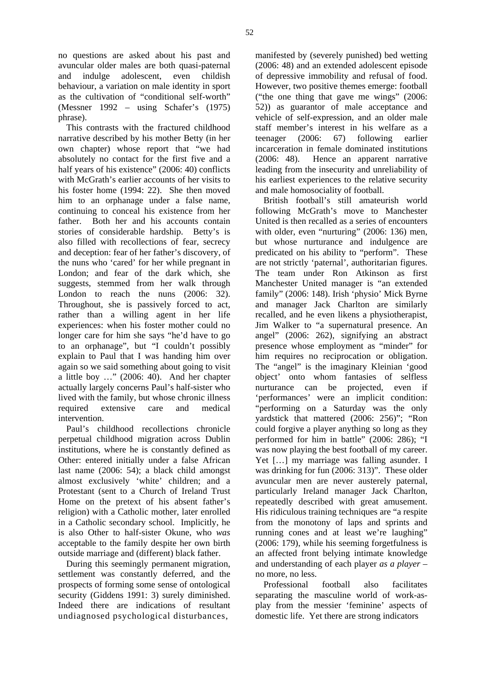no questions are asked about his past and avuncular older males are both quasi-paternal and indulge adolescent, even childish behaviour, a variation on male identity in sport as the cultivation of "conditional self-worth" (Messner 1992 – using Schafer's (1975) phrase).

This contrasts with the fractured childhood narrative described by his mother Betty (in her own chapter) whose report that "we had absolutely no contact for the first five and a half years of his existence" (2006: 40) conflicts with McGrath's earlier accounts of her visits to his foster home (1994: 22). She then moved him to an orphanage under a false name, continuing to conceal his existence from her father. Both her and his accounts contain stories of considerable hardship. Betty's is also filled with recollections of fear, secrecy and deception: fear of her father's discovery, of the nuns who 'cared' for her while pregnant in London; and fear of the dark which, she suggests, stemmed from her walk through London to reach the nuns (2006: 32). Throughout, she is passively forced to act, rather than a willing agent in her life experiences: when his foster mother could no longer care for him she says "he'd have to go to an orphanage", but "I couldn't possibly explain to Paul that I was handing him over again so we said something about going to visit a little boy …" (2006: 40). And her chapter actually largely concerns Paul's half-sister who lived with the family, but whose chronic illness required extensive care and medical intervention.

Paul's childhood recollections chronicle perpetual childhood migration across Dublin institutions, where he is constantly defined as Other: entered initially under a false African last name (2006: 54); a black child amongst almost exclusively 'white' children; and a Protestant (sent to a Church of Ireland Trust Home on the pretext of his absent father's religion) with a Catholic mother, later enrolled in a Catholic secondary school. Implicitly, he is also Other to half-sister Okune, who *was* acceptable to the family despite her own birth outside marriage and (different) black father.

During this seemingly permanent migration, settlement was constantly deferred, and the prospects of forming some sense of ontological security (Giddens 1991: 3) surely diminished. Indeed there are indications of resultant undiagnosed psychological disturbances,

manifested by (severely punished) bed wetting (2006: 48) and an extended adolescent episode of depressive immobility and refusal of food. However, two positive themes emerge: football ("the one thing that gave me wings" (2006: 52)) as guarantor of male acceptance and vehicle of self-expression, and an older male staff member's interest in his welfare as a teenager (2006: 67) following earlier incarceration in female dominated institutions (2006: 48). Hence an apparent narrative leading from the insecurity and unreliability of his earliest experiences to the relative security and male homosociality of football.

British football's still amateurish world following McGrath's move to Manchester United is then recalled as a series of encounters with older, even "nurturing" (2006: 136) men. but whose nurturance and indulgence are predicated on his ability to "perform". These are not strictly 'paternal', authoritarian figures. The team under Ron Atkinson as first Manchester United manager is "an extended family" (2006: 148). Irish 'physio' Mick Byrne and manager Jack Charlton are similarly recalled, and he even likens a physiotherapist, Jim Walker to "a supernatural presence. An angel" (2006: 262), signifying an abstract presence whose employment as "minder" for him requires no reciprocation or obligation. The "angel" is the imaginary Kleinian 'good object' onto whom fantasies of selfless nurturance can be projected, even if 'performances' were an implicit condition: "performing on a Saturday was the only yardstick that mattered (2006: 256)"; "Ron could forgive a player anything so long as they performed for him in battle" (2006: 286); "I was now playing the best football of my career. Yet [...] my marriage was falling asunder. I was drinking for fun (2006: 313)". These older avuncular men are never austerely paternal, particularly Ireland manager Jack Charlton, repeatedly described with great amusement. His ridiculous training techniques are "a respite from the monotony of laps and sprints and running cones and at least we're laughing" (2006: 179), while his seeming forgetfulness is an affected front belying intimate knowledge and understanding of each player *as a player* – no more, no less.

Professional football also facilitates separating the masculine world of work-asplay from the messier 'feminine' aspects of domestic life. Yet there are strong indicators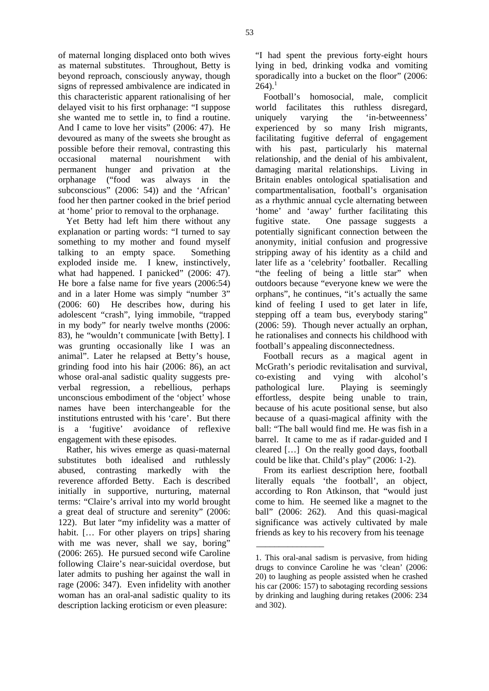of maternal longing displaced onto both wives as maternal substitutes. Throughout, Betty is beyond reproach, consciously anyway, though signs of repressed ambivalence are indicated in this characteristic apparent rationalising of her delayed visit to his first orphanage: "I suppose she wanted me to settle in, to find a routine. And I came to love her visits" (2006: 47). He devoured as many of the sweets she brought as possible before their removal, contrasting this occasional maternal nourishment with permanent hunger and privation at the orphanage ("food was always in the subconscious" (2006: 54)) and the 'African' food her then partner cooked in the brief period at 'home' prior to removal to the orphanage.

Yet Betty had left him there without any explanation or parting words: "I turned to say something to my mother and found myself talking to an empty space. Something exploded inside me. I knew, instinctively, what had happened. I panicked" (2006: 47). He bore a false name for five years (2006:54) and in a later Home was simply "number 3" (2006: 60) He describes how, during his adolescent "crash", lying immobile, "trapped in my body" for nearly twelve months (2006: 83), he "wouldn't communicate [with Betty]. I was grunting occasionally like I was an animal". Later he relapsed at Betty's house, grinding food into his hair (2006: 86), an act whose oral-anal sadistic quality suggests preverbal regression, a rebellious, perhaps unconscious embodiment of the 'object' whose names have been interchangeable for the institutions entrusted with his 'care'. But there is a 'fugitive' avoidance of reflexive engagement with these episodes.

Rather, his wives emerge as quasi-maternal substitutes both idealised and ruthlessly abused, contrasting markedly with the reverence afforded Betty. Each is described initially in supportive, nurturing, maternal terms: "Claire's arrival into my world brought a great deal of structure and serenity" (2006: 122). But later "my infidelity was a matter of habit. [... For other players on trips] sharing with me was never, shall we say, boring" (2006: 265). He pursued second wife Caroline following Claire's near-suicidal overdose, but later admits to pushing her against the wall in rage (2006: 347). Even infidelity with another woman has an oral-anal sadistic quality to its description lacking eroticism or even pleasure:

"I had spent the previous forty-eight hours lying in bed, drinking vodka and vomiting sporadically into a bucket on the floor" (2006:  $264$ ).<sup>1</sup>

Football's homosocial, male, complicit world facilitates this ruthless disregard, uniquely varying the 'in-betweenness' experienced by so many Irish migrants, facilitating fugitive deferral of engagement with his past, particularly his maternal relationship, and the denial of his ambivalent, damaging marital relationships. Living in Britain enables ontological spatialisation and compartmentalisation, football's organisation as a rhythmic annual cycle alternating between 'home' and 'away' further facilitating this fugitive state. One passage suggests a potentially significant connection between the anonymity, initial confusion and progressive stripping away of his identity as a child and later life as a 'celebrity' footballer. Recalling "the feeling of being a little star" when outdoors because "everyone knew we were the orphans", he continues, "it's actually the same kind of feeling I used to get later in life, stepping off a team bus, everybody staring" (2006: 59). Though never actually an orphan, he rationalises and connects his childhood with football's appealing disconnectedness.

Football recurs as a magical agent in McGrath's periodic revitalisation and survival, co-existing and vying with alcohol's pathological lure. Playing is seemingly effortless, despite being unable to train, because of his acute positional sense, but also because of a quasi-magical affinity with the ball: "The ball would find me. He was fish in a barrel. It came to me as if radar-guided and I cleared […] On the really good days, football could be like that. Child's play" (2006: 1-2).

From its earliest description here, football literally equals 'the football', an object, according to Ron Atkinson, that "would just come to him. He seemed like a magnet to the ball" (2006: 262). And this quasi-magical significance was actively cultivated by male friends as key to his recovery from his teenage

 $\overline{\phantom{a}}$  ,  $\overline{\phantom{a}}$  ,  $\overline{\phantom{a}}$  ,  $\overline{\phantom{a}}$  ,  $\overline{\phantom{a}}$  ,  $\overline{\phantom{a}}$  ,  $\overline{\phantom{a}}$  ,  $\overline{\phantom{a}}$  ,  $\overline{\phantom{a}}$  ,  $\overline{\phantom{a}}$  ,  $\overline{\phantom{a}}$  ,  $\overline{\phantom{a}}$  ,  $\overline{\phantom{a}}$  ,  $\overline{\phantom{a}}$  ,  $\overline{\phantom{a}}$  ,  $\overline{\phantom{a}}$ 

<sup>1.</sup> This oral-anal sadism is pervasive, from hiding drugs to convince Caroline he was 'clean' (2006: 20) to laughing as people assisted when he crashed his car (2006: 157) to sabotaging recording sessions by drinking and laughing during retakes (2006: 234 and 302).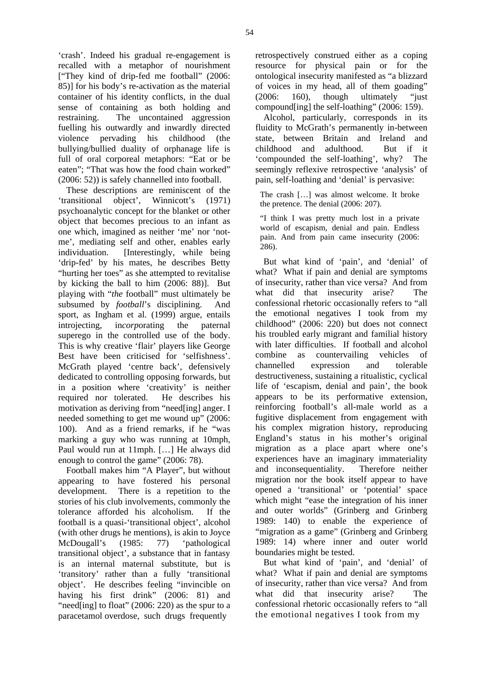'crash'. Indeed his gradual re-engagement is recalled with a metaphor of nourishment ["They kind of drip-fed me football" (2006: 85)] for his body's re-activation as the material container of his identity conflicts, in the dual sense of containing as both holding and restraining. The uncontained aggression fuelling his outwardly and inwardly directed violence pervading his childhood (the bullying/bullied duality of orphanage life is full of oral corporeal metaphors: "Eat or be eaten"; "That was how the food chain worked" (2006: 52)) is safely channelled into football.

These descriptions are reminiscent of the 'transitional object', Winnicott's (1971) psychoanalytic concept for the blanket or other object that becomes precious to an infant as one which, imagined as neither 'me' nor 'notme', mediating self and other, enables early individuation. [Interestingly, while being 'drip-fed' by his mates, he describes Betty "hurting her toes" as she attempted to revitalise by kicking the ball to him (2006: 88)]. But playing with "*the* football" must ultimately be subsumed by *football*'s disciplining. And sport, as Ingham et al. (1999) argue, entails introjecting, in*corp*orating the paternal superego in the controlled use of the body. This is why creative 'flair' players like George Best have been criticised for 'selfishness'. McGrath played 'centre back', defensively dedicated to controlling opposing forwards, but in a position where 'creativity' is neither required nor tolerated. He describes his motivation as deriving from "need[ing] anger. I needed something to get me wound up" (2006: 100). And as a friend remarks, if he "was marking a guy who was running at 10mph, Paul would run at 11mph. […] He always did enough to control the game" (2006: 78).

Football makes him "A Player", but without appearing to have fostered his personal development. There is a repetition to the stories of his club involvements, commonly the tolerance afforded his alcoholism. If the football is a quasi-'transitional object', alcohol (with other drugs he mentions), is akin to Joyce McDougall's (1985: 77) 'pathological transitional object', a substance that in fantasy is an internal maternal substitute, but is 'transitory' rather than a fully 'transitional object'. He describes feeling "invincible on having his first drink" (2006: 81) and "need[ing] to float" (2006: 220) as the spur to a paracetamol overdose, such drugs frequently

retrospectively construed either as a coping resource for physical pain or for the ontological insecurity manifested as "a blizzard of voices in my head, all of them goading" (2006: 160), though ultimately "just compound[ing] the self-loathing" (2006: 159).

Alcohol, particularly, corresponds in its fluidity to McGrath's permanently in-between state, between Britain and Ireland and childhood and adulthood. But if it 'compounded the self-loathing', why? The seemingly reflexive retrospective 'analysis' of pain, self-loathing and 'denial' is pervasive:

The crash […] was almost welcome. It broke the pretence. The denial (2006: 207).

"I think I was pretty much lost in a private world of escapism, denial and pain. Endless pain. And from pain came insecurity (2006: 286).

But what kind of 'pain', and 'denial' of what? What if pain and denial are symptoms of insecurity, rather than vice versa? And from what did that insecurity arise? The confessional rhetoric occasionally refers to "all the emotional negatives I took from my childhood" (2006: 220) but does not connect his troubled early migrant and familial history with later difficulties. If football and alcohol combine as countervailing vehicles of channelled expression and tolerable destructiveness, sustaining a ritualistic, cyclical life of 'escapism, denial and pain', the book appears to be its performative extension, reinforcing football's all-male world as a fugitive displacement from engagement with his complex migration history, reproducing England's status in his mother's original migration as a place apart where one's experiences have an imaginary immateriality and inconsequentiality. Therefore neither migration nor the book itself appear to have opened a 'transitional' or 'potential' space which might "ease the integration of his inner and outer worlds" (Grinberg and Grinberg 1989: 140) to enable the experience of "migration as a game" (Grinberg and Grinberg) 1989: 14) where inner and outer world boundaries might be tested.

But what kind of 'pain', and 'denial' of what? What if pain and denial are symptoms of insecurity, rather than vice versa? And from what did that insecurity arise? The confessional rhetoric occasionally refers to "all the emotional negatives I took from my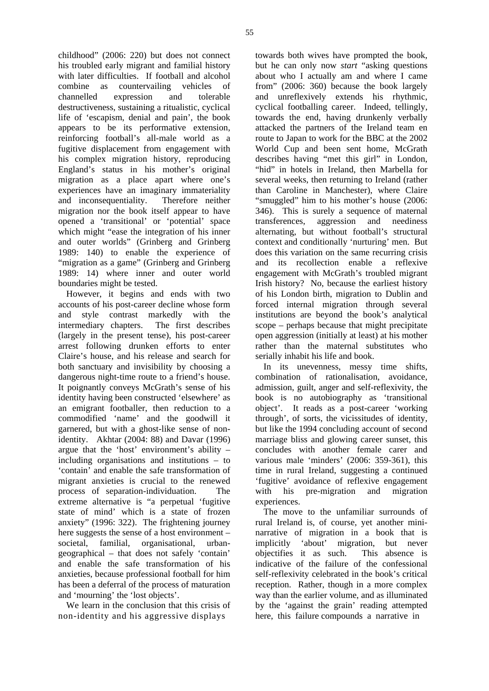childhood" (2006: 220) but does not connect his troubled early migrant and familial history with later difficulties. If football and alcohol combine as countervailing vehicles of channelled expression and tolerable destructiveness, sustaining a ritualistic, cyclical life of 'escapism, denial and pain', the book appears to be its performative extension, reinforcing football's all-male world as a fugitive displacement from engagement with his complex migration history, reproducing England's status in his mother's original migration as a place apart where one's experiences have an imaginary immateriality and inconsequentiality. Therefore neither migration nor the book itself appear to have opened a 'transitional' or 'potential' space which might "ease the integration of his inner and outer worlds" (Grinberg and Grinberg 1989: 140) to enable the experience of "migration as a game" (Grinberg and Grinberg 1989: 14) where inner and outer world boundaries might be tested.

However, it begins and ends with two accounts of his post-career decline whose form and style contrast markedly with the intermediary chapters. The first describes (largely in the present tense), his post-career arrest following drunken efforts to enter Claire's house, and his release and search for both sanctuary and invisibility by choosing a dangerous night-time route to a friend's house. It poignantly conveys McGrath's sense of his identity having been constructed 'elsewhere' as an emigrant footballer, then reduction to a commodified 'name' and the goodwill it garnered, but with a ghost-like sense of nonidentity. Akhtar (2004: 88) and Davar (1996) argue that the 'host' environment's ability – including organisations and institutions – to 'contain' and enable the safe transformation of migrant anxieties is crucial to the renewed process of separation-individuation. The extreme alternative is "a perpetual 'fugitive state of mind' which is a state of frozen anxiety" (1996: 322). The frightening journey here suggests the sense of a host environment – societal, familial, organisational, urbangeographical – that does not safely 'contain' and enable the safe transformation of his anxieties, because professional football for him has been a deferral of the process of maturation and 'mourning' the 'lost objects'.

We learn in the conclusion that this crisis of non-identity and his aggressive displays

towards both wives have prompted the book, but he can only now *start* "asking questions about who I actually am and where I came from" (2006: 360) because the book largely and unreflexively extends his rhythmic, cyclical footballing career. Indeed, tellingly, towards the end, having drunkenly verbally attacked the partners of the Ireland team en route to Japan to work for the BBC at the 2002 World Cup and been sent home, McGrath describes having "met this girl" in London, "hid" in hotels in Ireland, then Marbella for several weeks, then returning to Ireland (rather than Caroline in Manchester), where Claire "smuggled" him to his mother's house (2006: 346). This is surely a sequence of maternal transferences, aggression and neediness alternating, but without football's structural context and conditionally 'nurturing' men. But does this variation on the same recurring crisis and its recollection enable a reflexive engagement with McGrath's troubled migrant Irish history? No, because the earliest history of his London birth, migration to Dublin and forced internal migration through several institutions are beyond the book's analytical scope – perhaps because that might precipitate open aggression (initially at least) at his mother rather than the maternal substitutes who serially inhabit his life and book.

In its unevenness, messy time shifts, combination of rationalisation, avoidance, admission, guilt, anger and self-reflexivity, the book is no autobiography as 'transitional object'. It reads as a post-career 'working through', of sorts, the vicissitudes of identity, but like the 1994 concluding account of second marriage bliss and glowing career sunset, this concludes with another female carer and various male 'minders' (2006: 359-361), this time in rural Ireland, suggesting a continued 'fugitive' avoidance of reflexive engagement with his pre-migration and migration experiences.

The move to the unfamiliar surrounds of rural Ireland is, of course, yet another mininarrative of migration in a book that is implicitly 'about' migration, but never objectifies it as such. This absence is indicative of the failure of the confessional self-reflexivity celebrated in the book's critical reception. Rather, though in a more complex way than the earlier volume, and as illuminated by the 'against the grain' reading attempted here, this failure compounds a narrative in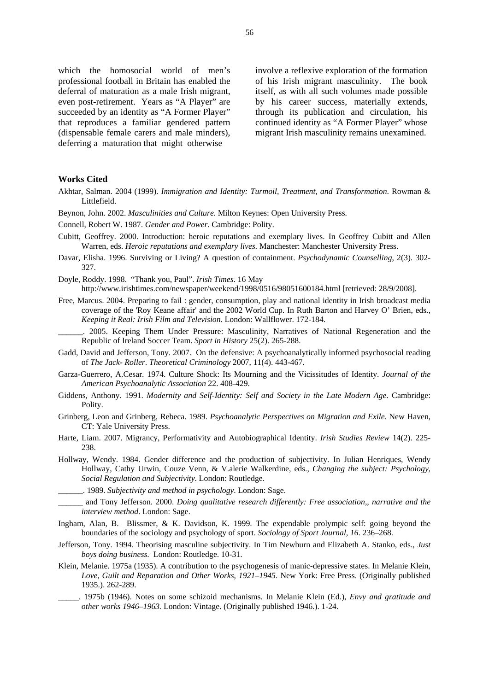which the homosocial world of men's professional football in Britain has enabled the deferral of maturation as a male Irish migrant, even post-retirement. Years as "A Player" are succeeded by an identity as "A Former Player" that reproduces a familiar gendered pattern (dispensable female carers and male minders), deferring a maturation that might otherwise

involve a reflexive exploration of the formation of his Irish migrant masculinity. The book itself, as with all such volumes made possible by his career success, materially extends, through its publication and circulation, his continued identity as "A Former Player" whose migrant Irish masculinity remains unexamined.

#### **Works Cited**

- Akhtar, Salman. 2004 (1999). *Immigration and Identity: Turmoil, Treatment, and Transformation*. Rowman & Littlefield.
- Beynon, John. 2002. *Masculinities and Culture*. Milton Keynes: Open University Press.
- Connell, Robert W. 1987. *Gender and Power*. Cambridge: Polity.
- Cubitt, Geoffrey. 2000. Introduction: heroic reputations and exemplary lives. In Geoffrey Cubitt and Allen Warren, eds. *Heroic reputations and exemplary lives.* Manchester: Manchester University Press.
- Davar, Elisha. 1996. Surviving or Living? A question of containment. *Psychodynamic Counselling*, 2(3). 302- 327.
- Doyle, Roddy. 1998. "Thank you, Paul". *Irish Times*. 16 May

http://www.irishtimes.com/newspaper/weekend/1998/0516/98051600184.html [retrieved: 28/9/2008].

- Free, Marcus. 2004. Preparing to fail : gender, consumption, play and national identity in Irish broadcast media coverage of the 'Roy Keane affair' and the 2002 World Cup. In Ruth Barton and Harvey O' Brien, eds., *Keeping it Real: Irish Film and Television.* London: Wallflower. 172-184.
- \_\_\_\_\_\_. 2005. Keeping Them Under Pressure: Masculinity, Narratives of National Regeneration and the Republic of Ireland Soccer Team. *Sport in History* 25(2). 265-288.
- Gadd, David and Jefferson, Tony. 2007. On the defensive: A psychoanalytically informed psychosocial reading of *The Jack- Roller*. *Theoretical Criminology* 2007, 11(4). 443-467.
- Garza-Guerrero, A.Cesar. 1974. Culture Shock: Its Mourning and the Vicissitudes of Identity. *Journal of the American Psychoanalytic Association* 22. 408-429.
- Giddens, Anthony. 1991. *Modernity and Self-Identity: Self and Society in the Late Modern Age*. Cambridge: Polity.
- Grinberg, Leon and Grinberg, Rebeca. 1989. *Psychoanalytic Perspectives on Migration and Exile*. New Haven, CT: Yale University Press.
- Harte, Liam. 2007. Migrancy, Performativity and Autobiographical Identity. *Irish Studies Review* 14(2). 225- 238.
- Hollway, Wendy. 1984. Gender difference and the production of subjectivity. In Julian Henriques, Wendy Hollway, Cathy Urwin, Couze Venn, & V.alerie Walkerdine, eds., *Changing the subject: Psychology, Social Regulation and Subjectivity*. London: Routledge.
- \_\_\_\_\_\_. 1989. *Subjectivity and method in psychology*. London: Sage.
- \_\_\_\_\_\_ and Tony Jefferson. 2000. *Doing qualitative research differently: Free association,, narrative and the interview method*. London: Sage.
- Ingham, Alan, B. Blissmer, & K. Davidson, K. 1999. The expendable prolympic self: going beyond the boundaries of the sociology and psychology of sport. *Sociology of Sport Journal, 16*. 236–268.
- Jefferson, Tony. 1994. Theorising masculine subjectivity. In Tim Newburn and Elizabeth A. Stanko, eds., *Just boys doing business*. London: Routledge. 10-31.
- Klein, Melanie. 1975a (1935). A contribution to the psychogenesis of manic-depressive states. In Melanie Klein, *Love, Guilt and Reparation and Other Works, 1921–1945*. New York: Free Press. (Originally published 1935.). 262-289.
- \_\_\_\_\_. 1975b (1946). Notes on some schizoid mechanisms. In Melanie Klein (Ed.), *Envy and gratitude and other works 1946–1963.* London: Vintage. (Originally published 1946.). 1-24.